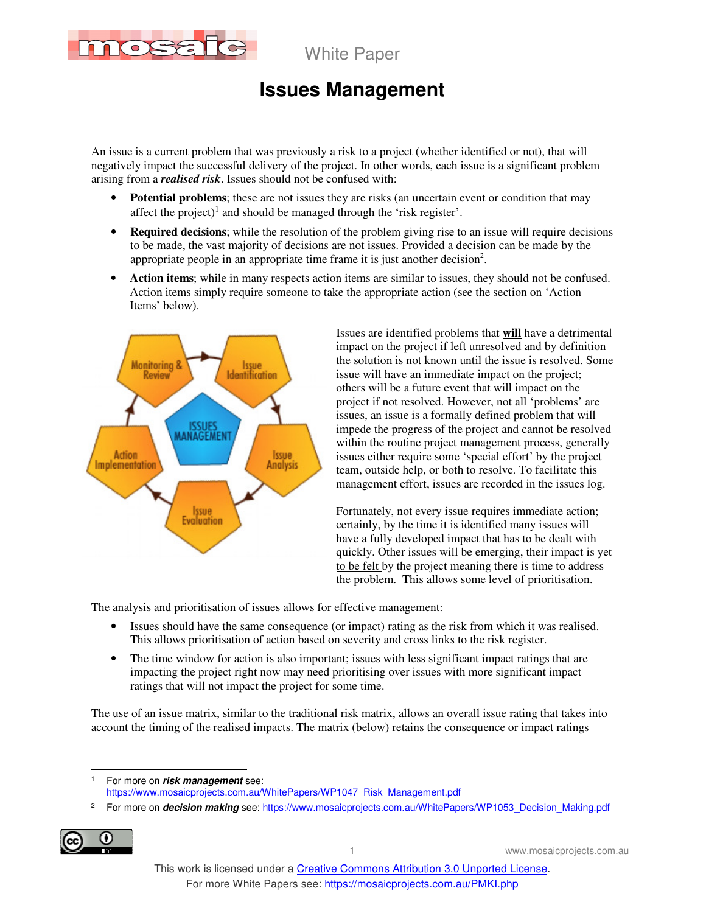

# **Issues Management**

An issue is a current problem that was previously a risk to a project (whether identified or not), that will negatively impact the successful delivery of the project. In other words, each issue is a significant problem arising from a *realised risk*. Issues should not be confused with:

- **Potential problems**; these are not issues they are risks (an uncertain event or condition that may affect the project)<sup>1</sup> and should be managed through the 'risk register'.
- **Required decisions**; while the resolution of the problem giving rise to an issue will require decisions to be made, the vast majority of decisions are not issues. Provided a decision can be made by the appropriate people in an appropriate time frame it is just another decision<sup>2</sup>.
- **Action items**; while in many respects action items are similar to issues, they should not be confused. Action items simply require someone to take the appropriate action (see the section on 'Action Items' below).



Issues are identified problems that **will** have a detrimental impact on the project if left unresolved and by definition the solution is not known until the issue is resolved. Some issue will have an immediate impact on the project; others will be a future event that will impact on the project if not resolved. However, not all 'problems' are issues, an issue is a formally defined problem that will impede the progress of the project and cannot be resolved within the routine project management process, generally issues either require some 'special effort' by the project team, outside help, or both to resolve. To facilitate this management effort, issues are recorded in the issues log.

Fortunately, not every issue requires immediate action; certainly, by the time it is identified many issues will have a fully developed impact that has to be dealt with quickly. Other issues will be emerging, their impact is yet to be felt by the project meaning there is time to address the problem. This allows some level of prioritisation.

The analysis and prioritisation of issues allows for effective management:

- Issues should have the same consequence (or impact) rating as the risk from which it was realised. This allows prioritisation of action based on severity and cross links to the risk register.
- The time window for action is also important; issues with less significant impact ratings that are impacting the project right now may need prioritising over issues with more significant impact ratings that will not impact the project for some time.

The use of an issue matrix, similar to the traditional risk matrix, allows an overall issue rating that takes into account the timing of the realised impacts. The matrix (below) retains the consequence or impact ratings

|<br>1 For more on **risk management** see: https://www.mosaicprojects.com.au/WhitePapers/WP1047\_Risk\_Management.pdf

<sup>2</sup> For more on *decision making* see: https://www.mosaicprojects.com.au/WhitePapers/WP1053\_Decision\_Making.pdf



1 www.mosaicprojects.com.au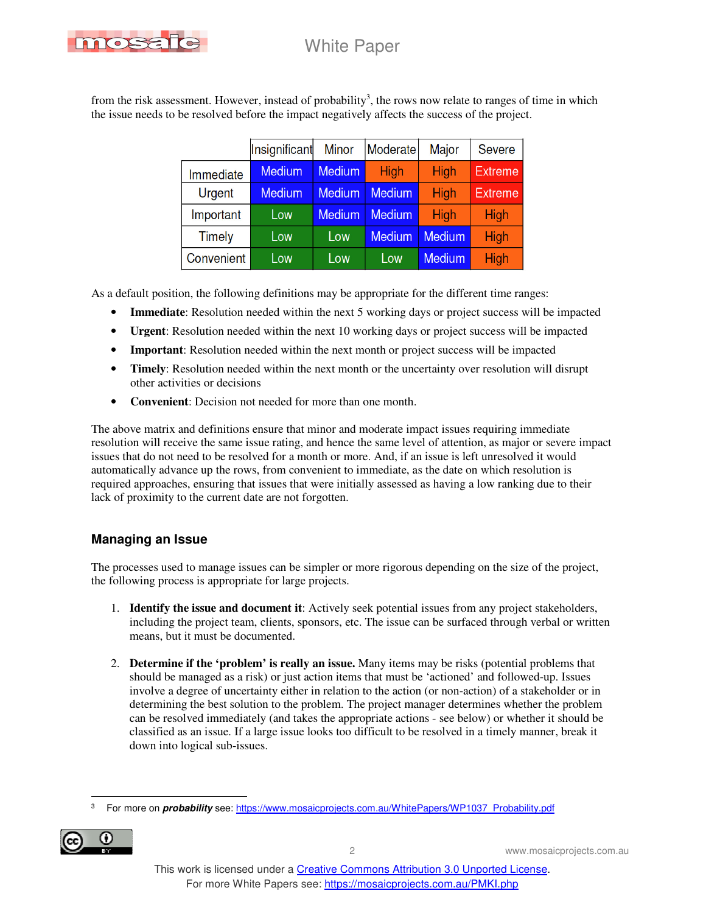

from the risk assessment. However, instead of probability<sup>3</sup>, the rows now relate to ranges of time in which the issue needs to be resolved before the impact negatively affects the success of the project.

|  |            | Insignificant | <b>Minor</b>  | Moderate      | Major         | <b>Severe</b>  |
|--|------------|---------------|---------------|---------------|---------------|----------------|
|  | Immediate  | <b>Medium</b> | <b>Medium</b> | High          | High          | <b>Extreme</b> |
|  | Urgent     | <b>Medium</b> | <b>Medium</b> | <b>Medium</b> | High          | <b>Extreme</b> |
|  | Important  | Low           | <b>Medium</b> | <b>Medium</b> | High          | High           |
|  | Timely     | Low           | Low           | <b>Medium</b> | <b>Medium</b> | High           |
|  | Convenient | Low           | Low           | Low           | Medium        | High           |

As a default position, the following definitions may be appropriate for the different time ranges:

- **Immediate**: Resolution needed within the next 5 working days or project success will be impacted
- **Urgent**: Resolution needed within the next 10 working days or project success will be impacted
- **Important**: Resolution needed within the next month or project success will be impacted
- **Timely**: Resolution needed within the next month or the uncertainty over resolution will disrupt other activities or decisions
- **Convenient**: Decision not needed for more than one month.

The above matrix and definitions ensure that minor and moderate impact issues requiring immediate resolution will receive the same issue rating, and hence the same level of attention, as major or severe impact issues that do not need to be resolved for a month or more. And, if an issue is left unresolved it would automatically advance up the rows, from convenient to immediate, as the date on which resolution is required approaches, ensuring that issues that were initially assessed as having a low ranking due to their lack of proximity to the current date are not forgotten.

### **Managing an Issue**

The processes used to manage issues can be simpler or more rigorous depending on the size of the project, the following process is appropriate for large projects.

- 1. **Identify the issue and document it**: Actively seek potential issues from any project stakeholders, including the project team, clients, sponsors, etc. The issue can be surfaced through verbal or written means, but it must be documented.
- 2. **Determine if the 'problem' is really an issue.** Many items may be risks (potential problems that should be managed as a risk) or just action items that must be 'actioned' and followed-up. Issues involve a degree of uncertainty either in relation to the action (or non-action) of a stakeholder or in determining the best solution to the problem. The project manager determines whether the problem can be resolved immediately (and takes the appropriate actions - see below) or whether it should be classified as an issue. If a large issue looks too difficult to be resolved in a timely manner, break it down into logical sub-issues.

 $\overline{a}$ 3 For more on **probability** see: https://www.mosaicprojects.com.au/WhitePapers/WP1037\_Probability.pdf

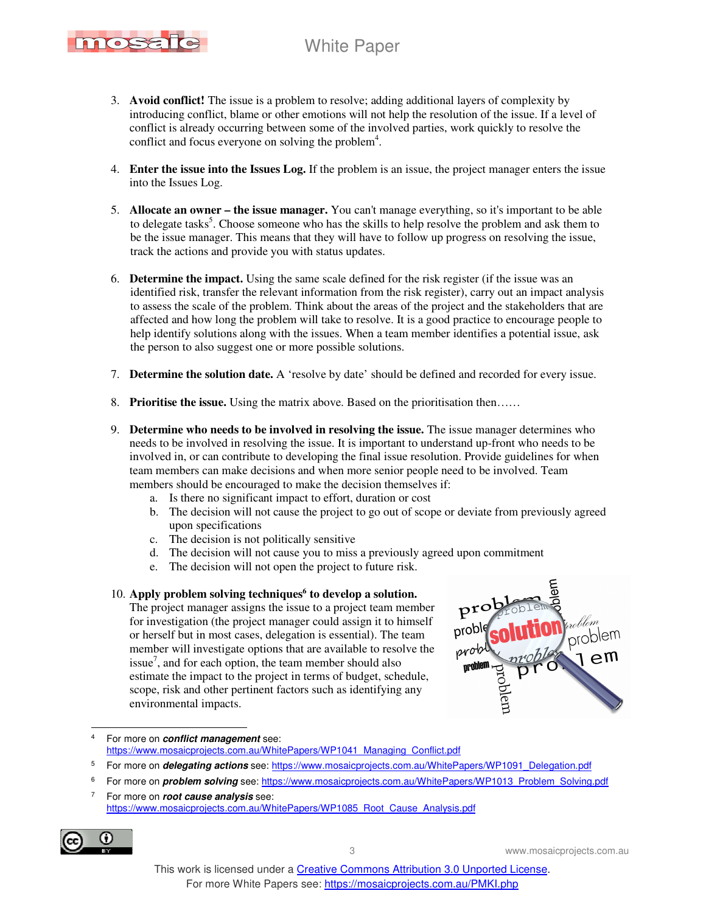

- 3. **Avoid conflict!** The issue is a problem to resolve; adding additional layers of complexity by introducing conflict, blame or other emotions will not help the resolution of the issue. If a level of conflict is already occurring between some of the involved parties, work quickly to resolve the conflict and focus everyone on solving the problem<sup>4</sup>.
- 4. **Enter the issue into the Issues Log.** If the problem is an issue, the project manager enters the issue into the Issues Log.
- 5. **Allocate an owner the issue manager.** You can't manage everything, so it's important to be able to delegate tasks<sup>5</sup>. Choose someone who has the skills to help resolve the problem and ask them to be the issue manager. This means that they will have to follow up progress on resolving the issue, track the actions and provide you with status updates.
- 6. **Determine the impact.** Using the same scale defined for the risk register (if the issue was an identified risk, transfer the relevant information from the risk register), carry out an impact analysis to assess the scale of the problem. Think about the areas of the project and the stakeholders that are affected and how long the problem will take to resolve. It is a good practice to encourage people to help identify solutions along with the issues. When a team member identifies a potential issue, ask the person to also suggest one or more possible solutions.
- 7. **Determine the solution date.** A 'resolve by date' should be defined and recorded for every issue.
- 8. **Prioritise the issue.** Using the matrix above. Based on the prioritisation then……
- 9. **Determine who needs to be involved in resolving the issue.** The issue manager determines who needs to be involved in resolving the issue. It is important to understand up-front who needs to be involved in, or can contribute to developing the final issue resolution. Provide guidelines for when team members can make decisions and when more senior people need to be involved. Team members should be encouraged to make the decision themselves if:
	- a. Is there no significant impact to effort, duration or cost
	- b. The decision will not cause the project to go out of scope or deviate from previously agreed upon specifications
	- c. The decision is not politically sensitive
	- d. The decision will not cause you to miss a previously agreed upon commitment
	- e. The decision will not open the project to future risk.

#### 10. **Apply problem solving techniques<sup>6</sup> to develop a solution.**

The project manager assigns the issue to a project team member for investigation (the project manager could assign it to himself or herself but in most cases, delegation is essential). The team member will investigate options that are available to resolve the issue<sup>7</sup>, and for each option, the team member should also estimate the impact to the project in terms of budget, schedule, scope, risk and other pertinent factors such as identifying any environmental impacts.



 $\frac{1}{4}$  For more on **conflict management** see: https://www.mosaicprojects.com.au/WhitePapers/WP1041\_Managing\_Conflict.pdf

<sup>7</sup> For more on **root cause analysis** see: https://www.mosaicprojects.com.au/WhitePapers/WP1085\_Root\_Cause\_Analysis.pdf



<sup>5</sup> For more on *delegating actions* see: https://www.mosaicprojects.com.au/WhitePapers/WP1091\_Delegation.pdf

<sup>6</sup> For more on **problem solving** see: https://www.mosaicprojects.com.au/WhitePapers/WP1013\_Problem\_Solving.pdf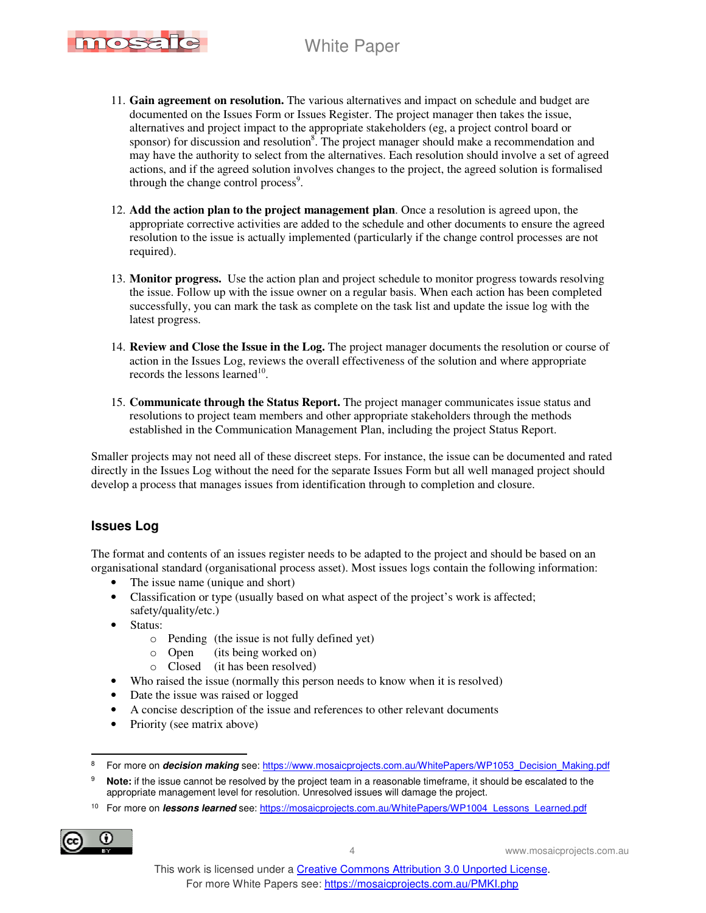

- 11. **Gain agreement on resolution.** The various alternatives and impact on schedule and budget are documented on the Issues Form or Issues Register. The project manager then takes the issue, alternatives and project impact to the appropriate stakeholders (eg, a project control board or sponsor) for discussion and resolution<sup>8</sup>. The project manager should make a recommendation and may have the authority to select from the alternatives. Each resolution should involve a set of agreed actions, and if the agreed solution involves changes to the project, the agreed solution is formalised through the change control process<sup>9</sup>.
- 12. **Add the action plan to the project management plan**. Once a resolution is agreed upon, the appropriate corrective activities are added to the schedule and other documents to ensure the agreed resolution to the issue is actually implemented (particularly if the change control processes are not required).
- 13. **Monitor progress.** Use the action plan and project schedule to monitor progress towards resolving the issue. Follow up with the issue owner on a regular basis. When each action has been completed successfully, you can mark the task as complete on the task list and update the issue log with the latest progress.
- 14. **Review and Close the Issue in the Log.** The project manager documents the resolution or course of action in the Issues Log, reviews the overall effectiveness of the solution and where appropriate records the lessons learned $10$ .
- 15. **Communicate through the Status Report.** The project manager communicates issue status and resolutions to project team members and other appropriate stakeholders through the methods established in the Communication Management Plan, including the project Status Report.

Smaller projects may not need all of these discreet steps. For instance, the issue can be documented and rated directly in the Issues Log without the need for the separate Issues Form but all well managed project should develop a process that manages issues from identification through to completion and closure.

### **Issues Log**

The format and contents of an issues register needs to be adapted to the project and should be based on an organisational standard (organisational process asset). Most issues logs contain the following information:

- The issue name (unique and short)
- Classification or type (usually based on what aspect of the project's work is affected; safety/quality/etc.)
- Status:
	- o Pending (the issue is not fully defined yet)
	- o Open (its being worked on)
	- o Closed (it has been resolved)
- Who raised the issue (normally this person needs to know when it is resolved)
- Date the issue was raised or logged
- A concise description of the issue and references to other relevant documents
- Priority (see matrix above)

<sup>10</sup> For more on **lessons learned** see: https://mosaicprojects.com.au/WhitePapers/WP1004\_Lessons\_Learned.pdf



 $\overline{a}$ 

4 www.mosaicprojects.com.au

<sup>8</sup> For more on **decision making** see: https://www.mosaicprojects.com.au/WhitePapers/WP1053\_Decision\_Making.pdf

<sup>9</sup> **Note:** if the issue cannot be resolved by the project team in a reasonable timeframe, it should be escalated to the appropriate management level for resolution. Unresolved issues will damage the project.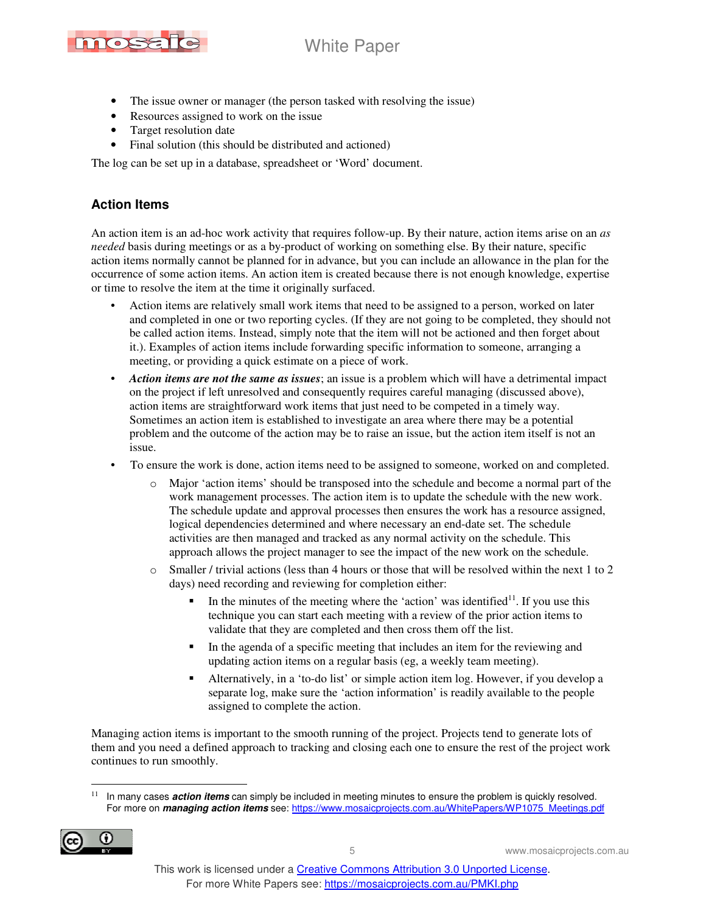

- The issue owner or manager (the person tasked with resolving the issue)
- Resources assigned to work on the issue
- Target resolution date
- Final solution (this should be distributed and actioned)

The log can be set up in a database, spreadsheet or 'Word' document.

### **Action Items**

An action item is an ad-hoc work activity that requires follow-up. By their nature, action items arise on an *as needed* basis during meetings or as a by-product of working on something else. By their nature, specific action items normally cannot be planned for in advance, but you can include an allowance in the plan for the occurrence of some action items. An action item is created because there is not enough knowledge, expertise or time to resolve the item at the time it originally surfaced.

- Action items are relatively small work items that need to be assigned to a person, worked on later and completed in one or two reporting cycles. (If they are not going to be completed, they should not be called action items. Instead, simply note that the item will not be actioned and then forget about it.). Examples of action items include forwarding specific information to someone, arranging a meeting, or providing a quick estimate on a piece of work.
- *Action items are not the same as issues*; an issue is a problem which will have a detrimental impact on the project if left unresolved and consequently requires careful managing (discussed above), action items are straightforward work items that just need to be competed in a timely way. Sometimes an action item is established to investigate an area where there may be a potential problem and the outcome of the action may be to raise an issue, but the action item itself is not an issue.
- To ensure the work is done, action items need to be assigned to someone, worked on and completed.
	- Major 'action items' should be transposed into the schedule and become a normal part of the work management processes. The action item is to update the schedule with the new work. The schedule update and approval processes then ensures the work has a resource assigned, logical dependencies determined and where necessary an end-date set. The schedule activities are then managed and tracked as any normal activity on the schedule. This approach allows the project manager to see the impact of the new work on the schedule.
	- $\circ$  Smaller / trivial actions (less than 4 hours or those that will be resolved within the next 1 to 2 days) need recording and reviewing for completion either:
		- In the minutes of the meeting where the 'action' was identified $11$ . If you use this technique you can start each meeting with a review of the prior action items to validate that they are completed and then cross them off the list.
		- In the agenda of a specific meeting that includes an item for the reviewing and updating action items on a regular basis (eg, a weekly team meeting).
		- Alternatively, in a 'to-do list' or simple action item log. However, if you develop a separate log, make sure the 'action information' is readily available to the people assigned to complete the action.

Managing action items is important to the smooth running of the project. Projects tend to generate lots of them and you need a defined approach to tracking and closing each one to ensure the rest of the project work continues to run smoothly.

 $\overline{a}$ 11 In many cases **action items** can simply be included in meeting minutes to ensure the problem is quickly resolved. For more on **managing action items** see: https://www.mosaicprojects.com.au/WhitePapers/WP1075\_Meetings.pdf